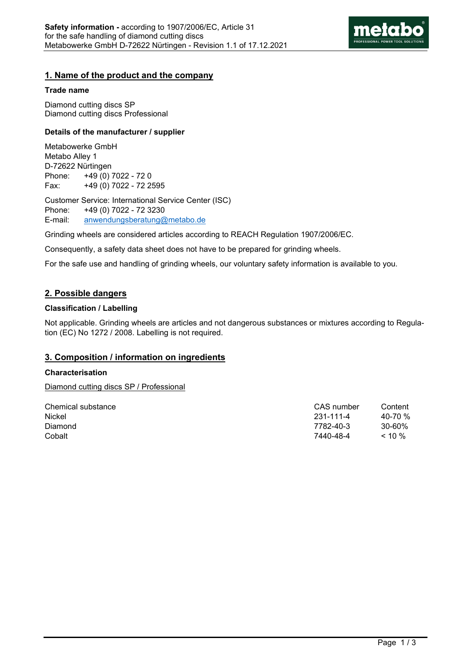

### **1. Name of the product and the company**

#### **Trade name**

Diamond cutting discs SP Diamond cutting discs Professional

#### **Details of the manufacturer / supplier**

Metabowerke GmbH Metabo Alley 1 D-72622 Nürtingen Phone: +49 (0) 7022 - 72 0 Fax: +49 (0) 7022 - 72 2595

Customer Service: International Service Center (ISC) Phone: +49 (0) 7022 - 72 3230 E-mail: anwendungsberatung@metabo.de

Grinding wheels are considered articles according to REACH Regulation 1907/2006/EC.

Consequently, a safety data sheet does not have to be prepared for grinding wheels.

For the safe use and handling of grinding wheels, our voluntary safety information is available to you.

# **2. Possible dangers**

### **Classification / Labelling**

Not applicable. Grinding wheels are articles and not dangerous substances or mixtures according to Regulation (EC) No 1272 / 2008. Labelling is not required.

# **3. Composition / information on ingredients**

### **Characterisation**

Diamond cutting discs SP / Professional

| Chemical substance | CAS number | Content  |
|--------------------|------------|----------|
| Nickel             | 231-111-4  | 40-70 %  |
| Diamond            | 7782-40-3  | 30-60%   |
| Cobalt             | 7440-48-4  | $< 10\%$ |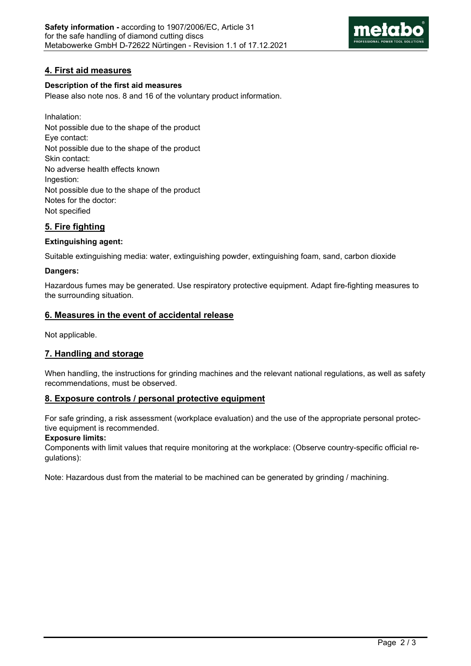

# **4. First aid measures**

### **Description of the first aid measures**

Please also note nos. 8 and 16 of the voluntary product information.

Inhalation: Not possible due to the shape of the product Eye contact: Not possible due to the shape of the product Skin contact: No adverse health effects known Ingestion: Not possible due to the shape of the product Notes for the doctor: Not specified

# **5. Fire fighting**

### **Extinguishing agent:**

Suitable extinguishing media: water, extinguishing powder, extinguishing foam, sand, carbon dioxide

### **Dangers:**

Hazardous fumes may be generated. Use respiratory protective equipment. Adapt fire-fighting measures to the surrounding situation.

### **6. Measures in the event of accidental release**

Not applicable.

# **7. Handling and storage**

When handling, the instructions for grinding machines and the relevant national regulations, as well as safety recommendations, must be observed.

# **8. Exposure controls / personal protective equipment**

For safe grinding, a risk assessment (workplace evaluation) and the use of the appropriate personal protective equipment is recommended.

### **Exposure limits:**

Components with limit values that require monitoring at the workplace: (Observe country-specific official regulations):

Note: Hazardous dust from the material to be machined can be generated by grinding / machining.